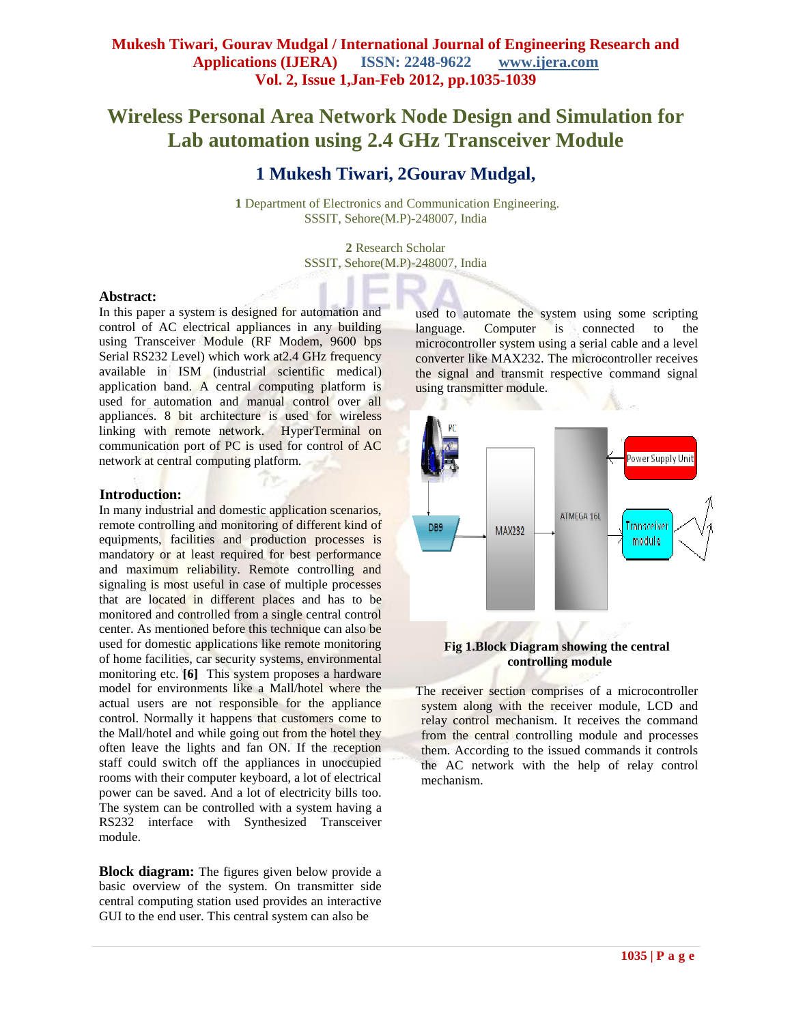# **Wireless Personal Area Network Node Design and Simulation for Lab automation using 2.4 GHz Transceiver Module**

## **1 Mukesh Tiwari, 2Gourav Mudgal,**

**1** Department of Electronics and Communication Engineering. SSSIT, Sehore(M.P)-248007, India

> **2** Research Scholar SSSIT, Sehore(M.P)-248007, India

#### **Abstract:**

In this paper a system is designed for automation and control of AC electrical appliances in any building using Transceiver Module (RF Modem, 9600 bps Serial RS232 Level) which work at2.4 GHz frequency available in ISM (industrial scientific medical) application band. A central computing platform is used for automation and manual control over all appliances. 8 bit architecture is used for wireless linking with remote network. HyperTerminal on communication port of PC is used for control of AC network at central computing platform.

#### **Introduction:**

In many industrial and domestic application scenarios, remote controlling and monitoring of different kind of equipments, facilities and production processes is mandatory or at least required for best performance and maximum reliability. Remote controlling and signaling is most useful in case of multiple processes that are located in different places and has to be monitored and controlled from a single central control center. As mentioned before this technique can also be used for domestic applications like remote monitoring of home facilities, car security systems, environmental monitoring etc. **[6]** This system proposes a hardware model for environments like a Mall/hotel where the actual users are not responsible for the appliance control. Normally it happens that customers come to the Mall/hotel and while going out from the hotel they often leave the lights and fan ON. If the reception staff could switch off the appliances in unoccupied rooms with their computer keyboard, a lot of electrical power can be saved. And a lot of electricity bills too. The system can be controlled with a system having a RS232 interface with Synthesized Transceiver module.

**Block diagram:** The figures given below provide a basic overview of the system. On transmitter side central computing station used provides an interactive GUI to the end user. This central system can also be

used to automate the system using some scripting language. Computer is connected to the microcontroller system using a serial cable and a level converter like MAX232. The microcontroller receives the signal and transmit respective command signal using transmitter module.



### **Fig 1.Block Diagram showing the central controlling module**

The receiver section comprises of a microcontroller system along with the receiver module, LCD and relay control mechanism. It receives the command from the central controlling module and processes them. According to the issued commands it controls the AC network with the help of relay control mechanism.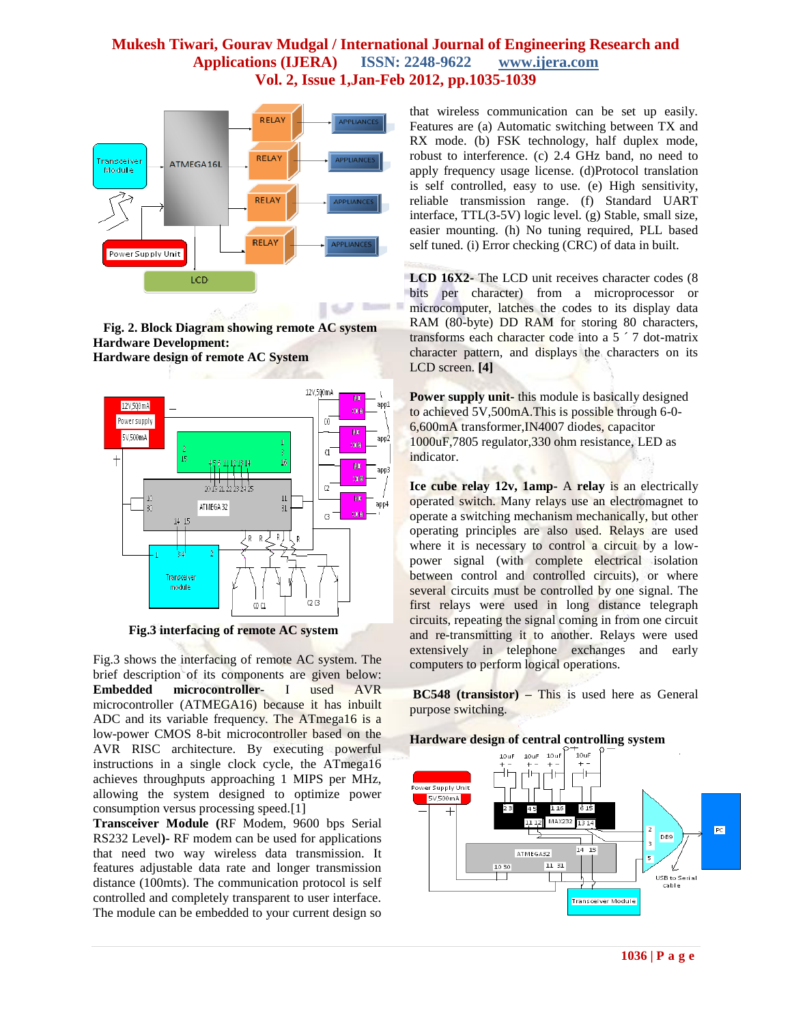

**Fig. 2. Block Diagram showing remote AC system Hardware Development: Hardware design of remote AC System**



 **Fig.3 interfacing of remote AC system**

Fig.3 shows the interfacing of remote AC system. The brief description of its components are given below: **Embedded microcontroller-** I used AVR microcontroller (ATMEGA16) because it has inbuilt ADC and its variable frequency. The ATmega16 is a low-power CMOS 8-bit microcontroller based on the AVR RISC architecture. By executing powerful instructions in a single clock cycle, the ATmega16 achieves throughputs approaching 1 MIPS per MHz, allowing the system designed to optimize power consumption versus processing speed.[1]

**Transceiver Module (**RF Modem, 9600 bps Serial RS232 Level**)-** RF modem can be used for applications that need two way wireless data transmission. It features adjustable data rate and longer transmission distance (100mts). The communication protocol is self controlled and completely transparent to user interface. The module can be embedded to your current design so

that wireless communication can be set up easily. Features are (a) Automatic switching between TX and RX mode. (b) FSK technology, half duplex mode, robust to interference. (c) 2.4 GHz band, no need to apply frequency usage license. (d)Protocol translation is self controlled, easy to use. (e) High sensitivity, reliable transmission range. (f) Standard UART interface, TTL(3-5V) logic level. (g) Stable, small size, easier mounting. (h) No tuning required, PLL based self tuned. (i) Error checking (CRC) of data in built.

**LCD 16X2-** The LCD unit receives character codes (8 bits per character) from a microprocessor or microcomputer, latches the codes to its display data RAM (80-byte) DD RAM for storing 80 characters, transforms each character code into a 5 ´ 7 dot-matrix character pattern, and displays the characters on its LCD screen. **[4]**

**Power supply unit-** this module is basically designed to achieved 5V,500mA.This is possible through 6-0- 6,600mA transformer,IN4007 diodes, capacitor 1000uF,7805 regulator,330 ohm resistance, LED as indicator.

**Ice cube relay 12v, 1amp-** A **relay** is an [electrically](http://en.wikipedia.org/wiki/Electric) operated [switch.](http://en.wikipedia.org/wiki/Switch) Many relays use an electromagnet to operate a switching mechanism mechanically, but other operating principles are also used. Relays are used where it is necessary to control a circuit by a lowpower signal (with complete electrical isolation between control and controlled circuits), or where several circuits must be controlled by one signal. The first relays were used in long distance telegraph circuits, repeating the signal coming in from one circuit and re-transmitting it to another. Relays were used extensively in telephone exchanges and early computers to perform logical operations.

**BC548 (transistor) –** This is used here as General purpose switching.

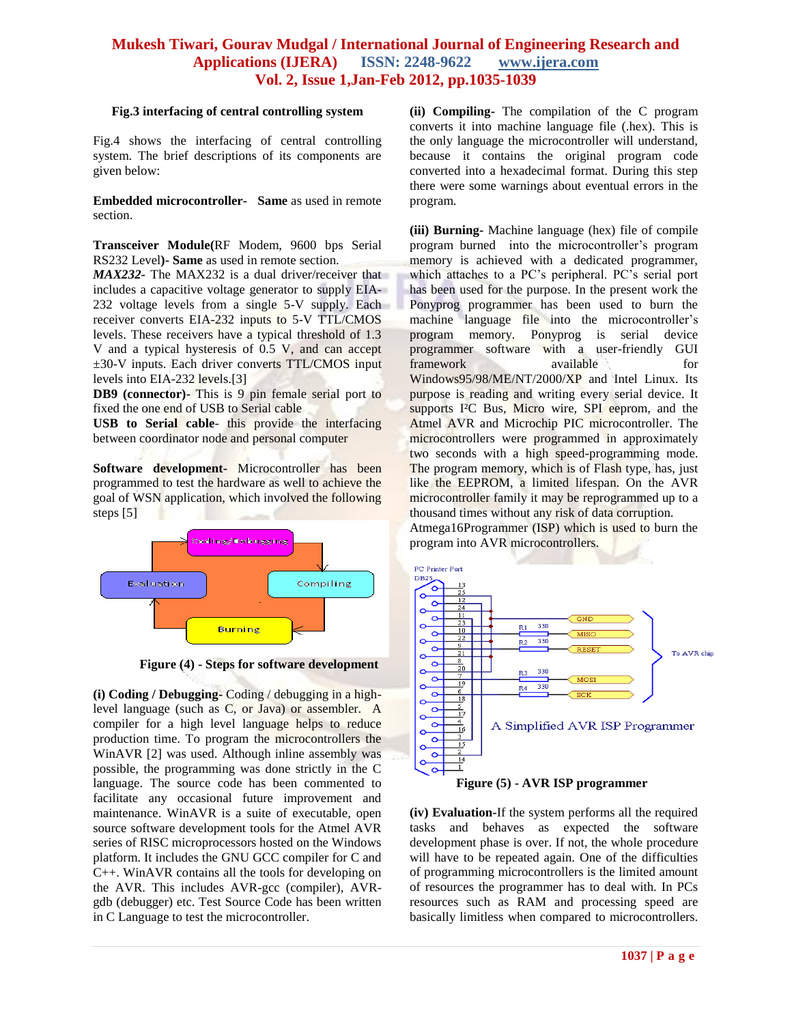#### **Fig.3 interfacing of central controlling system**

Fig.4 shows the interfacing of central controlling system. The brief descriptions of its components are given below:

**Embedded microcontroller- Same** as used in remote section.

**Transceiver Module(**RF Modem, 9600 bps Serial RS232 Level**)- Same** as used in remote section.

*MAX232-* The MAX232 is a dual driver/receiver that includes a capacitive voltage generator to supply EIA-232 voltage levels from a single 5-V supply. Each receiver converts EIA-232 inputs to 5-V TTL/CMOS levels. These receivers have a typical threshold of 1.3 V and a typical hysteresis of 0.5 V, and can accept ±30-V inputs. Each driver converts TTL/CMOS input levels into EIA-232 levels.[3]

**DB9 (connector)-** This is 9 pin female serial port to fixed the one end of USB to Serial cable

**USB to Serial cable**- this provide the interfacing between coordinator node and personal computer

**Software development-** Microcontroller has been programmed to test the hardware as well to achieve the goal of WSN application, which involved the following steps [5]



**Figure (4) - Steps for software development**

**(i) Coding / Debugging-** Coding / debugging in a highlevel language (such as C, or Java) or assembler. A compiler for a high level language helps to reduce production time. To program the microcontrollers the WinAVR [2] was used. Although inline assembly was possible, the programming was done strictly in the C language. The source code has been commented to facilitate any occasional future improvement and maintenance. WinAVR is a suite of executable, open source software development tools for the Atmel AVR series of RISC microprocessors hosted on the Windows platform. It includes the GNU GCC compiler for C and C++. WinAVR contains all the tools for developing on the AVR. This includes AVR-gcc (compiler), AVRgdb (debugger) etc. Test Source Code has been written in C Language to test the microcontroller.

**(ii) Compiling-** The compilation of the C program converts it into machine language file (.hex). This is the only language the microcontroller will understand, because it contains the original program code converted into a hexadecimal format. During this step there were some warnings about eventual errors in the program.

**(iii) Burning-** Machine language (hex) file of compile program burned into the microcontroller's program memory is achieved with a dedicated programmer, which attaches to a PC's peripheral. PC's serial port has been used for the purpose. In the present work the Ponyprog programmer has been used to burn the machine language file into the microcontroller's program memory. Ponyprog is serial device programmer software with a user-friendly GUI framework available for Windows95/98/ME/NT/2000/XP and Intel Linux. Its purpose is reading and writing every serial device. It supports I<sup>2</sup>C Bus, Micro wire, SPI eeprom, and the Atmel AVR and Microchip PIC microcontroller. The microcontrollers were programmed in approximately two seconds with a high speed-programming mode. The program memory, which is of Flash type, has, just like the EEPROM, a limited lifespan. On the AVR microcontroller family it may be reprogrammed up to a thousand times without any risk of data corruption. Atmega16Programmer (ISP) which is used to burn the program into AVR microcontrollers.



**(iv) Evaluation-**If the system performs all the required tasks and behaves as expected the software development phase is over. If not, the whole procedure will have to be repeated again. One of the difficulties of programming microcontrollers is the limited amount of resources the programmer has to deal with. In PCs resources such as RAM and processing speed are basically limitless when compared to microcontrollers.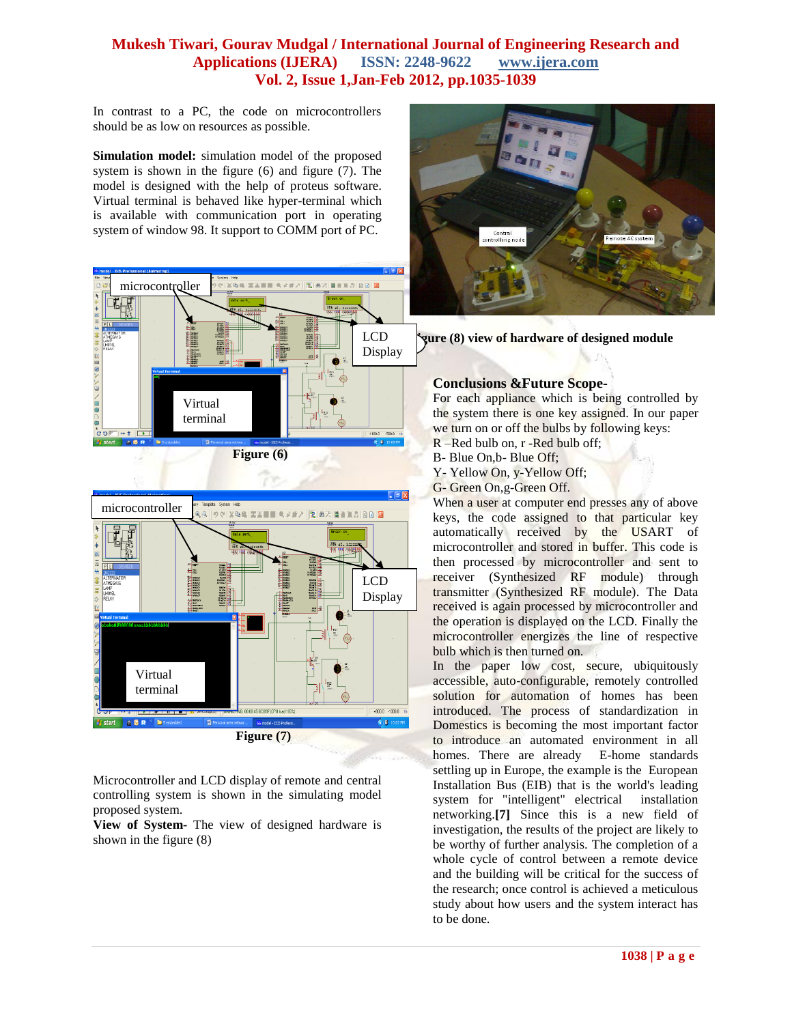In contrast to a PC, the code on microcontrollers should be as low on resources as possible.

**Simulation model:** simulation model of the proposed system is shown in the figure (6) and figure (7). The model is designed with the help of proteus software. Virtual terminal is behaved like hyper-terminal which is available with communication port in operating system of window 98. It support to COMM port of PC.





Microcontroller and LCD display of remote and central controlling system is shown in the simulating model proposed system.

**View of System-** The view of designed hardware is shown in the figure (8)



**Figure (8) view of hardware of designed module**

### **Conclusions &Future Scope-**

For each appliance which is being controlled by the system there is one key assigned. In our paper we turn on or off the bulbs by following keys: R –Red bulb on, r -Red bulb off;

- B- Blue On,b- Blue Off;
- Y- Yellow On, y-Yellow Off;
- G- Green On,g-Green Off.

When a user at computer end presses any of above keys, the code assigned to that particular key automatically received by the USART of microcontroller and stored in buffer. This code is then processed by microcontroller and sent to receiver (Synthesized RF module) through transmitter (Synthesized RF module). The Data received is again processed by microcontroller and the operation is displayed on the LCD. Finally the microcontroller energizes the line of respective bulb which is then turned on.

In the paper low cost, secure, ubiquitously accessible, auto-configurable, remotely controlled solution for automation of homes has been introduced. The process of standardization in Domestics is becoming the most important factor to introduce an automated environment in all homes. There are already E-home standards settling up in Europe, the example is the European Installation Bus (EIB) that is the world's leading system for "intelligent" electrical installation networking.**[7]** Since this is a new field of investigation, the results of the project are likely to be worthy of further analysis. The completion of a whole cycle of control between a remote device and the building will be critical for the success of the research; once control is achieved a meticulous study about how users and the system interact has to be done.